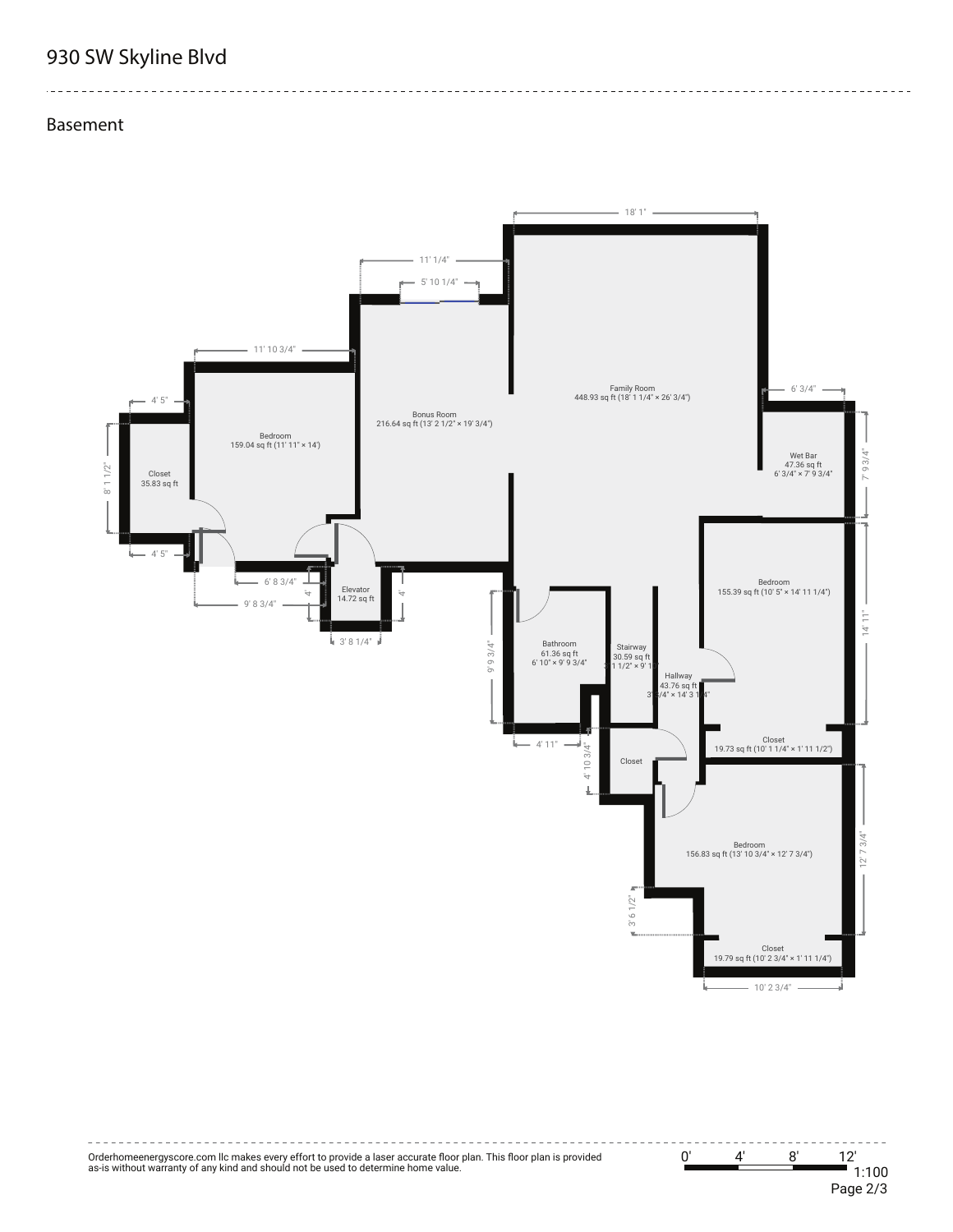## **930 SW Skyline Blvd**

## **Basement**